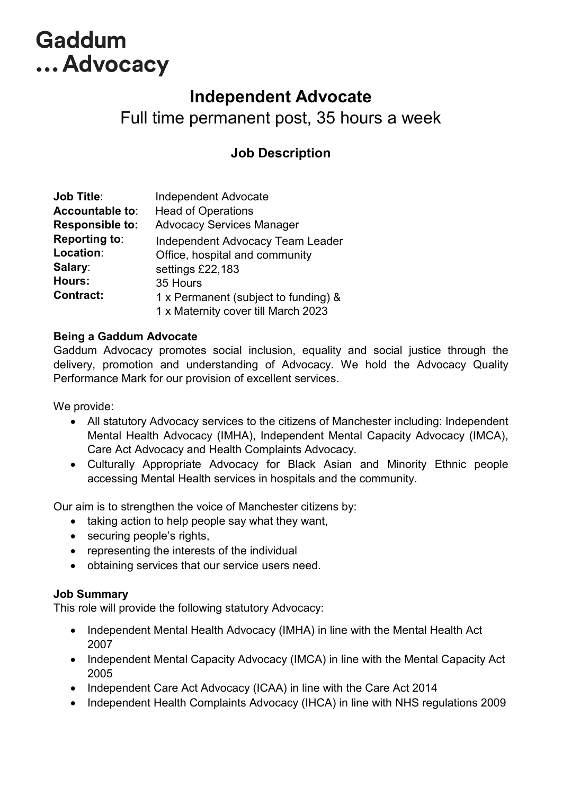### **Independent Advocate**

Full time permanent post, 35 hours a week

### **Job Description**

| <b>Job Title:</b>      | <b>Independent Advocate</b>             |  |  |
|------------------------|-----------------------------------------|--|--|
| Accountable to:        | <b>Head of Operations</b>               |  |  |
| <b>Responsible to:</b> | <b>Advocacy Services Manager</b>        |  |  |
| Reporting to:          | <b>Independent Advocacy Team Leader</b> |  |  |
| Location:              | Office, hospital and community          |  |  |
| Salary:                | settings £22,183                        |  |  |
| <b>Hours:</b>          | 35 Hours                                |  |  |
| <b>Contract:</b>       | 1 x Permanent (subject to funding) &    |  |  |
|                        | 1 x Maternity cover till March 2023     |  |  |

#### **Being a Gaddum Advocate**

Gaddum Advocacy promotes social inclusion, equality and social justice through the delivery, promotion and understanding of Advocacy. We hold the Advocacy Quality Performance Mark for our provision of excellent services.

We provide:

- All statutory Advocacy services to the citizens of Manchester including: Independent Mental Health Advocacy (IMHA), Independent Mental Capacity Advocacy (IMCA), Care Act Advocacy and Health Complaints Advocacy.
- Culturally Appropriate Advocacy for Black Asian and Minority Ethnic people accessing Mental Health services in hospitals and the community.

Our aim is to strengthen the voice of Manchester citizens by:

- taking action to help people say what they want,
- securing people's rights,
- representing the interests of the individual
- obtaining services that our service users need.

#### **Job Summary**

This role will provide the following statutory Advocacy:

- Independent Mental Health Advocacy (IMHA) in line with the Mental Health Act 2007
- Independent Mental Capacity Advocacy (IMCA) in line with the Mental Capacity Act 2005
- Independent Care Act Advocacy (ICAA) in line with the Care Act 2014
- Independent Health Complaints Advocacy (IHCA) in line with NHS regulations 2009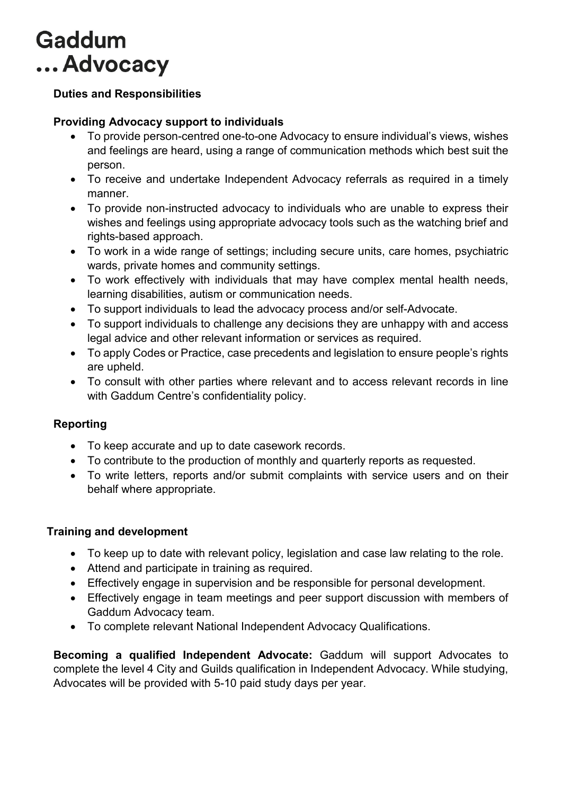

#### **Duties and Responsibilities**

#### **Providing Advocacy support to individuals**

- To provide person-centred one-to-one Advocacy to ensure individual's views, wishes and feelings are heard, using a range of communication methods which best suit the person.
- To receive and undertake Independent Advocacy referrals as required in a timely manner.
- To provide non-instructed advocacy to individuals who are unable to express their wishes and feelings using appropriate advocacy tools such as the watching brief and rights-based approach.
- To work in a wide range of settings; including secure units, care homes, psychiatric wards, private homes and community settings.
- To work effectively with individuals that may have complex mental health needs, learning disabilities, autism or communication needs.
- To support individuals to lead the advocacy process and/or self-Advocate.
- To support individuals to challenge any decisions they are unhappy with and access legal advice and other relevant information or services as required.
- To apply Codes or Practice, case precedents and legislation to ensure people's rights are upheld.
- To consult with other parties where relevant and to access relevant records in line with Gaddum Centre's confidentiality policy.

#### **Reporting**

- To keep accurate and up to date casework records.
- To contribute to the production of monthly and quarterly reports as requested.
- To write letters, reports and/or submit complaints with service users and on their behalf where appropriate.

#### **Training and development**

- To keep up to date with relevant policy, legislation and case law relating to the role.
- Attend and participate in training as required.
- Effectively engage in supervision and be responsible for personal development.
- Effectively engage in team meetings and peer support discussion with members of Gaddum Advocacy team.
- To complete relevant National Independent Advocacy Qualifications.

**Becoming a qualified Independent Advocate:** Gaddum will support Advocates to complete the level 4 City and Guilds qualification in Independent Advocacy. While studying, Advocates will be provided with 5-10 paid study days per year.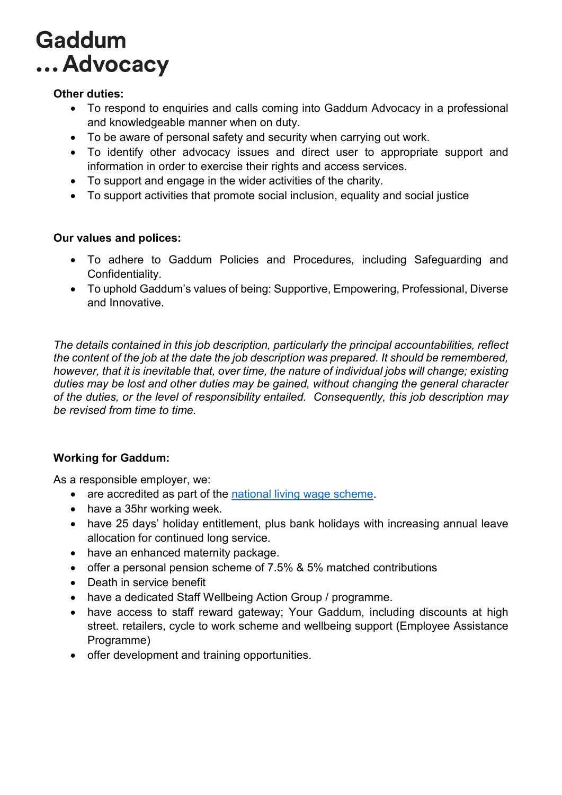#### **Other duties:**

- To respond to enquiries and calls coming into Gaddum Advocacy in a professional and knowledgeable manner when on duty.
- To be aware of personal safety and security when carrying out work.
- To identify other advocacy issues and direct user to appropriate support and information in order to exercise their rights and access services.
- To support and engage in the wider activities of the charity.
- To support activities that promote social inclusion, equality and social justice

#### **Our values and polices:**

- To adhere to Gaddum Policies and Procedures, including Safeguarding and Confidentiality.
- To uphold Gaddum's values of being: Supportive, Empowering, Professional, Diverse and Innovative.

*The details contained in this job description, particularly the principal accountabilities, reflect the content of the job at the date the job description was prepared. It should be remembered, however, that it is inevitable that, over time, the nature of individual jobs will change; existing duties may be lost and other duties may be gained, without changing the general character of the duties, or the level of responsibility entailed. Consequently, this job description may be revised from time to time.*

#### **Working for Gaddum:**

As a responsible employer, we:

- are accredited as part of the [national living wage scheme.](https://www.livingwage.org.uk/)
- have a 35hr working week.
- have 25 days' holiday entitlement, plus bank holidays with increasing annual leave allocation for continued long service.
- have an enhanced maternity package.
- offer a personal pension scheme of 7.5% & 5% matched contributions
- Death in service benefit
- have a dedicated Staff Wellbeing Action Group / programme.
- have access to staff reward gateway; Your Gaddum, including discounts at high street. retailers, cycle to work scheme and wellbeing support (Employee Assistance Programme)
- offer development and training opportunities.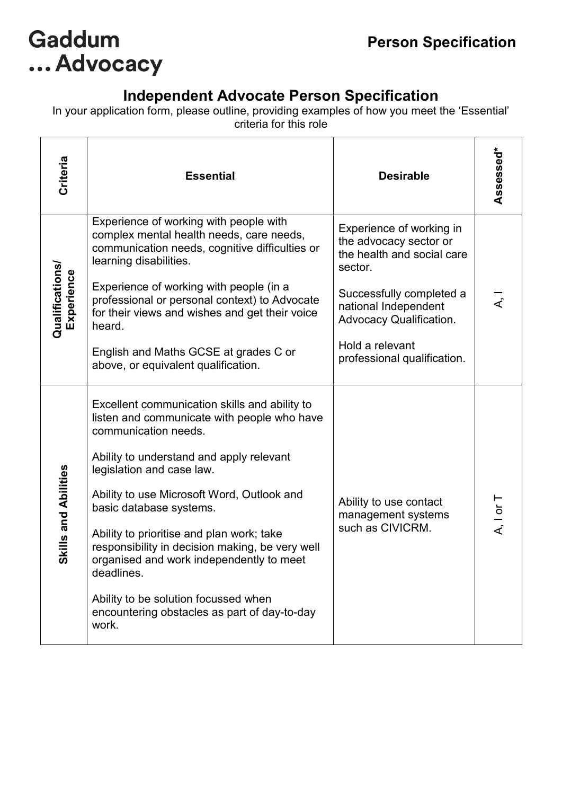### **Independent Advocate Person Specification**

In your application form, please outline, providing examples of how you meet the 'Essential' criteria for this role

| Criteria                      | <b>Essential</b>                                                                                                                                               | <b>Desirable</b>                                                                            | Assessed*     |
|-------------------------------|----------------------------------------------------------------------------------------------------------------------------------------------------------------|---------------------------------------------------------------------------------------------|---------------|
| Qualifications/<br>Experience | Experience of working with people with<br>complex mental health needs, care needs,<br>communication needs, cognitive difficulties or<br>learning disabilities. | Experience of working in<br>the advocacy sector or<br>the health and social care<br>sector. |               |
|                               | Experience of working with people (in a<br>professional or personal context) to Advocate<br>for their views and wishes and get their voice<br>heard.           | Successfully completed a<br>national Independent<br><b>Advocacy Qualification.</b>          |               |
|                               | English and Maths GCSE at grades C or<br>above, or equivalent qualification.                                                                                   | Hold a relevant<br>professional qualification.                                              |               |
| <b>Skills and Abilities</b>   | Excellent communication skills and ability to<br>listen and communicate with people who have<br>communication needs.                                           |                                                                                             |               |
|                               | Ability to understand and apply relevant<br>legislation and case law.                                                                                          |                                                                                             |               |
|                               | Ability to use Microsoft Word, Outlook and<br>basic database systems.                                                                                          | Ability to use contact<br>management systems<br>such as CIVICRM.                            | A, $I$ or $T$ |
|                               | Ability to prioritise and plan work; take<br>responsibility in decision making, be very well<br>organised and work independently to meet<br>deadlines.         |                                                                                             |               |
|                               | Ability to be solution focussed when<br>encountering obstacles as part of day-to-day<br>work.                                                                  |                                                                                             |               |